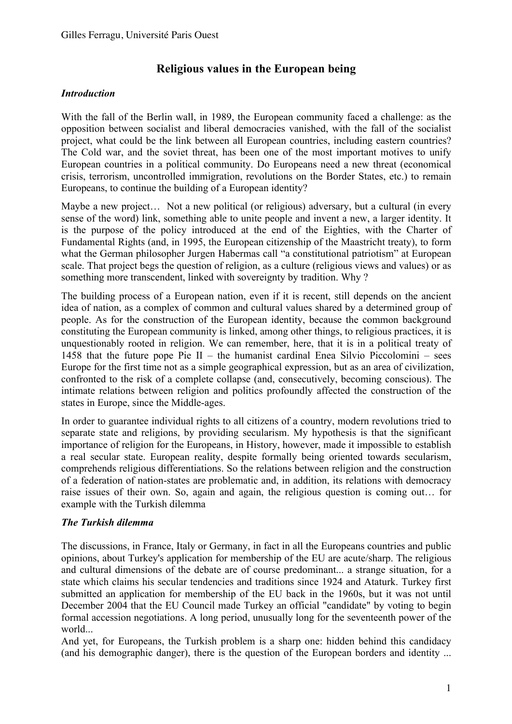# **Religious values in the European being**

# *Introduction*

With the fall of the Berlin wall, in 1989, the European community faced a challenge: as the opposition between socialist and liberal democracies vanished, with the fall of the socialist project, what could be the link between all European countries, including eastern countries? The Cold war, and the soviet threat, has been one of the most important motives to unify European countries in a political community. Do Europeans need a new threat (economical crisis, terrorism, uncontrolled immigration, revolutions on the Border States, etc.) to remain Europeans, to continue the building of a European identity?

Maybe a new project... Not a new political (or religious) adversary, but a cultural (in every sense of the word) link, something able to unite people and invent a new, a larger identity. It is the purpose of the policy introduced at the end of the Eighties, with the Charter of Fundamental Rights (and, in 1995, the European citizenship of the Maastricht treaty), to form what the German philosopher Jurgen Habermas call "a constitutional patriotism" at European scale. That project begs the question of religion, as a culture (religious views and values) or as something more transcendent, linked with sovereignty by tradition. Why ?

The building process of a European nation, even if it is recent, still depends on the ancient idea of nation, as a complex of common and cultural values shared by a determined group of people. As for the construction of the European identity, because the common background constituting the European community is linked, among other things, to religious practices, it is unquestionably rooted in religion. We can remember, here, that it is in a political treaty of 1458 that the future pope Pie II – the humanist cardinal Enea Silvio Piccolomini – sees Europe for the first time not as a simple geographical expression, but as an area of civilization, confronted to the risk of a complete collapse (and, consecutively, becoming conscious). The intimate relations between religion and politics profoundly affected the construction of the states in Europe, since the Middle-ages.

In order to guarantee individual rights to all citizens of a country, modern revolutions tried to separate state and religions, by providing secularism. My hypothesis is that the significant importance of religion for the Europeans, in History, however, made it impossible to establish a real secular state. European reality, despite formally being oriented towards secularism, comprehends religious differentiations. So the relations between religion and the construction of a federation of nation-states are problematic and, in addition, its relations with democracy raise issues of their own. So, again and again, the religious question is coming out… for example with the Turkish dilemma

### *The Turkish dilemma*

The discussions, in France, Italy or Germany, in fact in all the Europeans countries and public opinions, about Turkey's application for membership of the EU are acute/sharp. The religious and cultural dimensions of the debate are of course predominant... a strange situation, for a state which claims his secular tendencies and traditions since 1924 and Ataturk. Turkey first submitted an application for membership of the EU back in the 1960s, but it was not until December 2004 that the EU Council made Turkey an official "candidate" by voting to begin formal accession negotiations. A long period, unusually long for the seventeenth power of the world...

And yet, for Europeans, the Turkish problem is a sharp one: hidden behind this candidacy (and his demographic danger), there is the question of the European borders and identity ...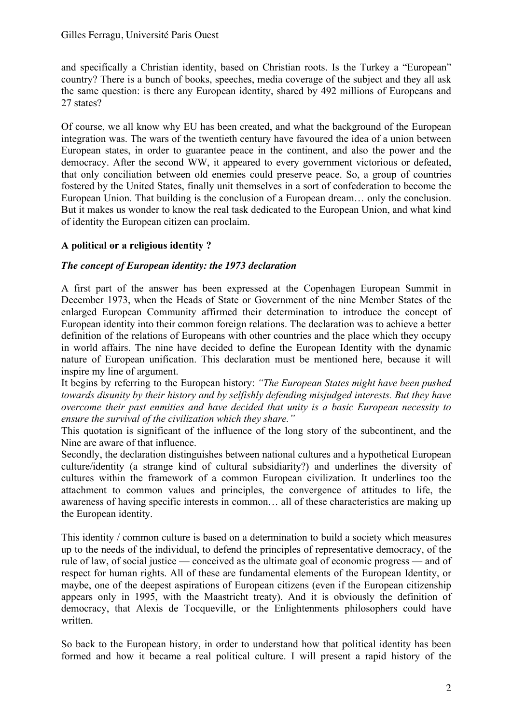and specifically a Christian identity, based on Christian roots. Is the Turkey a "European" country? There is a bunch of books, speeches, media coverage of the subject and they all ask the same question: is there any European identity, shared by 492 millions of Europeans and 27 states?

Of course, we all know why EU has been created, and what the background of the European integration was. The wars of the twentieth century have favoured the idea of a union between European states, in order to guarantee peace in the continent, and also the power and the democracy. After the second WW, it appeared to every government victorious or defeated, that only conciliation between old enemies could preserve peace. So, a group of countries fostered by the United States, finally unit themselves in a sort of confederation to become the European Union. That building is the conclusion of a European dream… only the conclusion. But it makes us wonder to know the real task dedicated to the European Union, and what kind of identity the European citizen can proclaim.

# **A political or a religious identity ?**

# *The concept of European identity: the 1973 declaration*

A first part of the answer has been expressed at the Copenhagen European Summit in December 1973, when the Heads of State or Government of the nine Member States of the enlarged European Community affirmed their determination to introduce the concept of European identity into their common foreign relations. The declaration was to achieve a better definition of the relations of Europeans with other countries and the place which they occupy in world affairs. The nine have decided to define the European Identity with the dynamic nature of European unification. This declaration must be mentioned here, because it will inspire my line of argument.

It begins by referring to the European history: *"The European States might have been pushed towards disunity by their history and by selfishly defending misjudged interests. But they have overcome their past enmities and have decided that unity is a basic European necessity to ensure the survival of the civilization which they share."*

This quotation is significant of the influence of the long story of the subcontinent, and the Nine are aware of that influence.

Secondly, the declaration distinguishes between national cultures and a hypothetical European culture/identity (a strange kind of cultural subsidiarity?) and underlines the diversity of cultures within the framework of a common European civilization. It underlines too the attachment to common values and principles, the convergence of attitudes to life, the awareness of having specific interests in common… all of these characteristics are making up the European identity.

This identity / common culture is based on a determination to build a society which measures up to the needs of the individual, to defend the principles of representative democracy, of the rule of law, of social justice — conceived as the ultimate goal of economic progress — and of respect for human rights. All of these are fundamental elements of the European Identity, or maybe, one of the deepest aspirations of European citizens (even if the European citizenship appears only in 1995, with the Maastricht treaty). And it is obviously the definition of democracy, that Alexis de Tocqueville, or the Enlightenments philosophers could have written.

So back to the European history, in order to understand how that political identity has been formed and how it became a real political culture. I will present a rapid history of the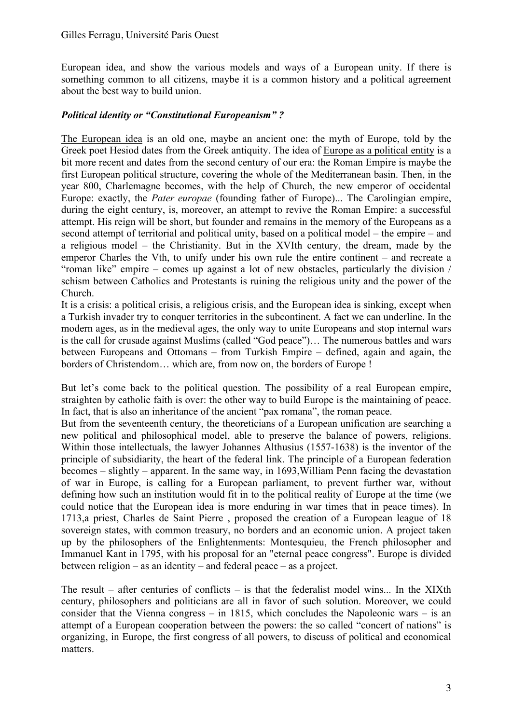European idea, and show the various models and ways of a European unity. If there is something common to all citizens, maybe it is a common history and a political agreement about the best way to build union.

### *Political identity or "Constitutional Europeanism" ?*

The European idea is an old one, maybe an ancient one: the myth of Europe, told by the Greek poet Hesiod dates from the Greek antiquity. The idea of Europe as a political entity is a bit more recent and dates from the second century of our era: the Roman Empire is maybe the first European political structure, covering the whole of the Mediterranean basin. Then, in the year 800, Charlemagne becomes, with the help of Church, the new emperor of occidental Europe: exactly, the *Pater europae* (founding father of Europe)... The Carolingian empire, during the eight century, is, moreover, an attempt to revive the Roman Empire: a successful attempt. His reign will be short, but founder and remains in the memory of the Europeans as a second attempt of territorial and political unity, based on a political model – the empire – and a religious model – the Christianity. But in the XVIth century, the dream, made by the emperor Charles the Vth, to unify under his own rule the entire continent – and recreate a "roman like" empire – comes up against a lot of new obstacles, particularly the division / schism between Catholics and Protestants is ruining the religious unity and the power of the Church.

It is a crisis: a political crisis, a religious crisis, and the European idea is sinking, except when a Turkish invader try to conquer territories in the subcontinent. A fact we can underline. In the modern ages, as in the medieval ages, the only way to unite Europeans and stop internal wars is the call for crusade against Muslims (called "God peace")… The numerous battles and wars between Europeans and Ottomans – from Turkish Empire – defined, again and again, the borders of Christendom… which are, from now on, the borders of Europe !

But let's come back to the political question. The possibility of a real European empire, straighten by catholic faith is over: the other way to build Europe is the maintaining of peace. In fact, that is also an inheritance of the ancient "pax romana", the roman peace.

But from the seventeenth century, the theoreticians of a European unification are searching a new political and philosophical model, able to preserve the balance of powers, religions. Within those intellectuals, the lawyer Johannes Althusius (1557-1638) is the inventor of the principle of subsidiarity, the heart of the federal link. The principle of a European federation becomes – slightly – apparent. In the same way, in 1693,William Penn facing the devastation of war in Europe, is calling for a European parliament, to prevent further war, without defining how such an institution would fit in to the political reality of Europe at the time (we could notice that the European idea is more enduring in war times that in peace times). In 1713,a priest, Charles de Saint Pierre , proposed the creation of a European league of 18 sovereign states, with common treasury, no borders and an economic union. A project taken up by the philosophers of the Enlightenments: Montesquieu, the French philosopher and Immanuel Kant in 1795, with his proposal for an "eternal peace congress". Europe is divided between religion – as an identity – and federal peace – as a project.

The result – after centuries of conflicts – is that the federalist model wins... In the XIXth century, philosophers and politicians are all in favor of such solution. Moreover, we could consider that the Vienna congress – in 1815, which concludes the Napoleonic wars – is an attempt of a European cooperation between the powers: the so called "concert of nations" is organizing, in Europe, the first congress of all powers, to discuss of political and economical matters.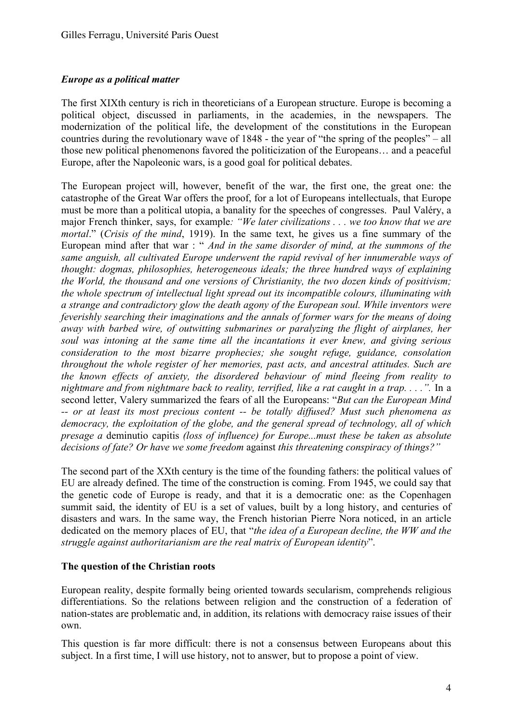### *Europe as a political matter*

The first XIXth century is rich in theoreticians of a European structure. Europe is becoming a political object, discussed in parliaments, in the academies, in the newspapers. The modernization of the political life, the development of the constitutions in the European countries during the revolutionary wave of 1848 - the year of "the spring of the peoples" – all those new political phenomenons favored the politicization of the Europeans… and a peaceful Europe, after the Napoleonic wars, is a good goal for political debates.

The European project will, however, benefit of the war, the first one, the great one: the catastrophe of the Great War offers the proof, for a lot of Europeans intellectuals, that Europe must be more than a political utopia, a banality for the speeches of congresses. Paul Valéry, a major French thinker, says, for example*: "We later civilizations . . . we too know that we are mortal*." (*Crisis of the mind*, 1919). In the same text, he gives us a fine summary of the European mind after that war : " *And in the same disorder of mind, at the summons of the same anguish, all cultivated Europe underwent the rapid revival of her innumerable ways of thought: dogmas, philosophies, heterogeneous ideals; the three hundred ways of explaining the World, the thousand and one versions of Christianity, the two dozen kinds of positivism; the whole spectrum of intellectual light spread out its incompatible colours, illuminating with a strange and contradictory glow the death agony of the European soul. While inventors were feverishly searching their imaginations and the annals of former wars for the means of doing away with barbed wire, of outwitting submarines or paralyzing the flight of airplanes, her soul was intoning at the same time all the incantations it ever knew, and giving serious consideration to the most bizarre prophecies; she sought refuge, guidance, consolation throughout the whole register of her memories, past acts, and ancestral attitudes. Such are the known effects of anxiety, the disordered behaviour of mind fleeing from reality to nightmare and from nightmare back to reality, terrified, like a rat caught in a trap. . . .".* In a second letter, Valery summarized the fears of all the Europeans: "*But can the European Mind -- or at least its most precious content -- be totally diffused? Must such phenomena as democracy, the exploitation of the globe, and the general spread of technology, all of which presage a* deminutio capitis *(loss of influence) for Europe...must these be taken as absolute decisions of fate? Or have we some freedom* against *this threatening conspiracy of things?"*

The second part of the XXth century is the time of the founding fathers: the political values of EU are already defined. The time of the construction is coming. From 1945, we could say that the genetic code of Europe is ready, and that it is a democratic one: as the Copenhagen summit said, the identity of EU is a set of values, built by a long history, and centuries of disasters and wars. In the same way, the French historian Pierre Nora noticed, in an article dedicated on the memory places of EU, that "*the idea of a European decline, the WW and the struggle against authoritarianism are the real matrix of European identity*".

#### **The question of the Christian roots**

European reality, despite formally being oriented towards secularism, comprehends religious differentiations. So the relations between religion and the construction of a federation of nation-states are problematic and, in addition, its relations with democracy raise issues of their own.

This question is far more difficult: there is not a consensus between Europeans about this subject. In a first time, I will use history, not to answer, but to propose a point of view.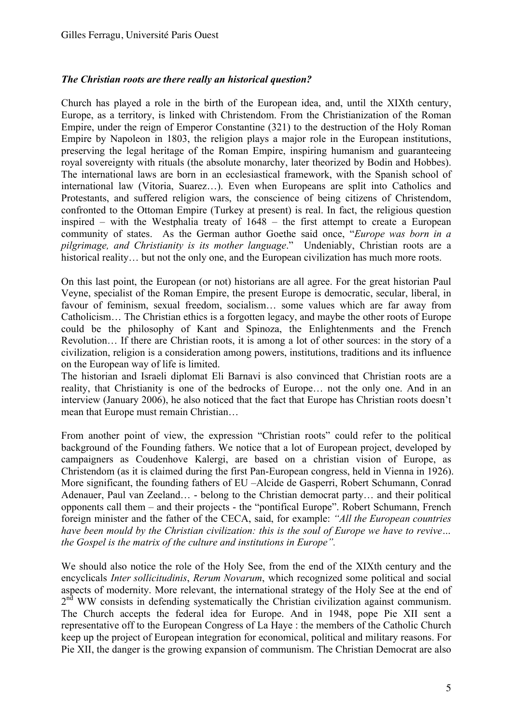### *The Christian roots are there really an historical question?*

Church has played a role in the birth of the European idea, and, until the XIXth century, Europe, as a territory, is linked with Christendom. From the Christianization of the Roman Empire, under the reign of Emperor Constantine (321) to the destruction of the Holy Roman Empire by Napoleon in 1803, the religion plays a major role in the European institutions, preserving the legal heritage of the Roman Empire, inspiring humanism and guaranteeing royal sovereignty with rituals (the absolute monarchy, later theorized by Bodin and Hobbes). The international laws are born in an ecclesiastical framework, with the Spanish school of international law (Vitoria, Suarez…). Even when Europeans are split into Catholics and Protestants, and suffered religion wars, the conscience of being citizens of Christendom, confronted to the Ottoman Empire (Turkey at present) is real. In fact, the religious question inspired – with the Westphalia treaty of 1648 – the first attempt to create a European community of states. As the German author Goethe said once, "*Europe was born in a pilgrimage, and Christianity is its mother language*." Undeniably, Christian roots are a historical reality... but not the only one, and the European civilization has much more roots.

On this last point, the European (or not) historians are all agree. For the great historian Paul Veyne, specialist of the Roman Empire, the present Europe is democratic, secular, liberal, in favour of feminism, sexual freedom, socialism… some values which are far away from Catholicism… The Christian ethics is a forgotten legacy, and maybe the other roots of Europe could be the philosophy of Kant and Spinoza, the Enlightenments and the French Revolution… If there are Christian roots, it is among a lot of other sources: in the story of a civilization, religion is a consideration among powers, institutions, traditions and its influence on the European way of life is limited.

The historian and Israeli diplomat Eli Barnavi is also convinced that Christian roots are a reality, that Christianity is one of the bedrocks of Europe… not the only one. And in an interview (January 2006), he also noticed that the fact that Europe has Christian roots doesn't mean that Europe must remain Christian…

From another point of view, the expression "Christian roots" could refer to the political background of the Founding fathers. We notice that a lot of European project, developed by campaigners as Coudenhove Kalergi, are based on a christian vision of Europe, as Christendom (as it is claimed during the first Pan-European congress, held in Vienna in 1926). More significant, the founding fathers of EU –Alcide de Gasperri, Robert Schumann, Conrad Adenauer, Paul van Zeeland… - belong to the Christian democrat party… and their political opponents call them – and their projects - the "pontifical Europe". Robert Schumann, French foreign minister and the father of the CECA, said, for example: *"All the European countries have been mould by the Christian civilization: this is the soul of Europe we have to revive… the Gospel is the matrix of the culture and institutions in Europe".*

We should also notice the role of the Holy See, from the end of the XIXth century and the encyclicals *Inter sollicitudinis*, *Rerum Novarum*, which recognized some political and social aspects of modernity. More relevant, the international strategy of the Holy See at the end of  $2<sup>nd</sup> WW$  consists in defending systematically the Christian civilization against communism. The Church accepts the federal idea for Europe. And in 1948, pope Pie XII sent a representative off to the European Congress of La Haye : the members of the Catholic Church keep up the project of European integration for economical, political and military reasons. For Pie XII, the danger is the growing expansion of communism. The Christian Democrat are also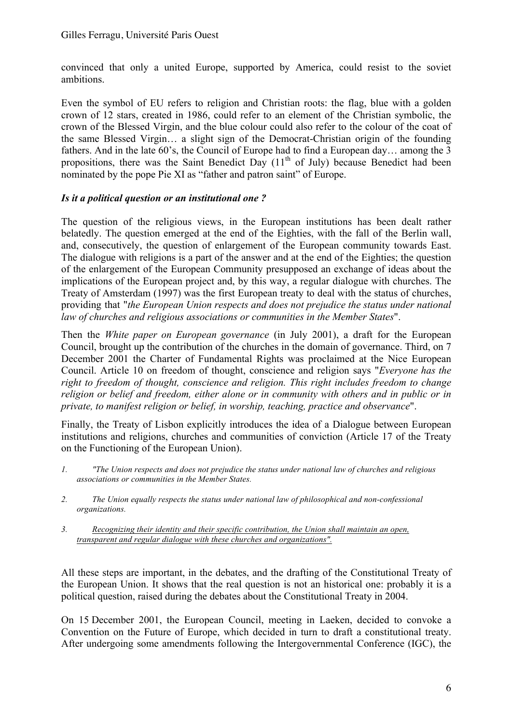convinced that only a united Europe, supported by America, could resist to the soviet ambitions.

Even the symbol of EU refers to religion and Christian roots: the flag, blue with a golden crown of 12 stars, created in 1986, could refer to an element of the Christian symbolic, the crown of the Blessed Virgin, and the blue colour could also refer to the colour of the coat of the same Blessed Virgin… a slight sign of the Democrat-Christian origin of the founding fathers. And in the late 60's, the Council of Europe had to find a European day... among the 3 propositions, there was the Saint Benedict Day  $(11<sup>th</sup>$  of July) because Benedict had been nominated by the pope Pie XI as "father and patron saint" of Europe.

# *Is it a political question or an institutional one ?*

The question of the religious views, in the European institutions has been dealt rather belatedly. The question emerged at the end of the Eighties, with the fall of the Berlin wall, and, consecutively, the question of enlargement of the European community towards East. The dialogue with religions is a part of the answer and at the end of the Eighties; the question of the enlargement of the European Community presupposed an exchange of ideas about the implications of the European project and, by this way, a regular dialogue with churches. The Treaty of Amsterdam (1997) was the first European treaty to deal with the status of churches, providing that "*the European Union respects and does not prejudice the status under national law of churches and religious associations or communities in the Member States*".

Then the *White paper on European governance* (in July 2001), a draft for the European Council, brought up the contribution of the churches in the domain of governance. Third, on 7 December 2001 the Charter of Fundamental Rights was proclaimed at the Nice European Council. Article 10 on freedom of thought, conscience and religion says "*Everyone has the right to freedom of thought, conscience and religion. This right includes freedom to change religion or belief and freedom, either alone or in community with others and in public or in private, to manifest religion or belief, in worship, teaching, practice and observance*".

Finally, the Treaty of Lisbon explicitly introduces the idea of a Dialogue between European institutions and religions, churches and communities of conviction (Article 17 of the Treaty on the Functioning of the European Union).

- *1. "The Union respects and does not prejudice the status under national law of churches and religious associations or communities in the Member States.*
- *2. The Union equally respects the status under national law of philosophical and non-confessional organizations.*
- *3. Recognizing their identity and their specific contribution, the Union shall maintain an open, transparent and regular dialogue with these churches and organizations".*

All these steps are important, in the debates, and the drafting of the Constitutional Treaty of the European Union. It shows that the real question is not an historical one: probably it is a political question, raised during the debates about the Constitutional Treaty in 2004.

On 15 December 2001, the European Council, meeting in Laeken, decided to convoke a Convention on the Future of Europe, which decided in turn to draft a constitutional treaty. After undergoing some amendments following the Intergovernmental Conference (IGC), the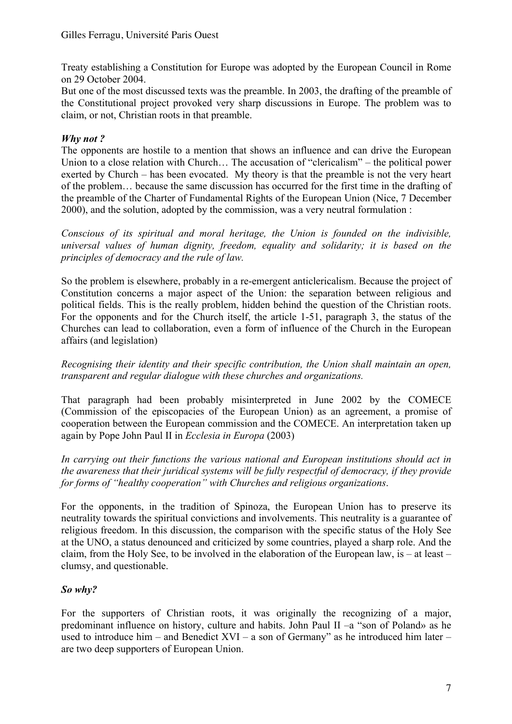Treaty establishing a Constitution for Europe was adopted by the European Council in Rome on 29 October 2004.

But one of the most discussed texts was the preamble. In 2003, the drafting of the preamble of the Constitutional project provoked very sharp discussions in Europe. The problem was to claim, or not, Christian roots in that preamble.

# *Why not ?*

The opponents are hostile to a mention that shows an influence and can drive the European Union to a close relation with Church… The accusation of "clericalism" – the political power exerted by Church – has been evocated. My theory is that the preamble is not the very heart of the problem… because the same discussion has occurred for the first time in the drafting of the preamble of the Charter of Fundamental Rights of the European Union (Nice, 7 December 2000), and the solution, adopted by the commission, was a very neutral formulation :

*Conscious of its spiritual and moral heritage, the Union is founded on the indivisible, universal values of human dignity, freedom, equality and solidarity; it is based on the principles of democracy and the rule of law.*

So the problem is elsewhere, probably in a re-emergent anticlericalism. Because the project of Constitution concerns a major aspect of the Union: the separation between religious and political fields. This is the really problem, hidden behind the question of the Christian roots. For the opponents and for the Church itself, the article 1-51, paragraph 3, the status of the Churches can lead to collaboration, even a form of influence of the Church in the European affairs (and legislation)

*Recognising their identity and their specific contribution, the Union shall maintain an open, transparent and regular dialogue with these churches and organizations.*

That paragraph had been probably misinterpreted in June 2002 by the COMECE (Commission of the episcopacies of the European Union) as an agreement, a promise of cooperation between the European commission and the COMECE. An interpretation taken up again by Pope John Paul II in *Ecclesia in Europa* (2003)

*In carrying out their functions the various national and European institutions should act in the awareness that their juridical systems will be fully respectful of democracy, if they provide for forms of "healthy cooperation" with Churches and religious organizations*.

For the opponents, in the tradition of Spinoza, the European Union has to preserve its neutrality towards the spiritual convictions and involvements. This neutrality is a guarantee of religious freedom. In this discussion, the comparison with the specific status of the Holy See at the UNO, a status denounced and criticized by some countries, played a sharp role. And the claim, from the Holy See, to be involved in the elaboration of the European law, is – at least – clumsy, and questionable.

# *So why?*

For the supporters of Christian roots, it was originally the recognizing of a major, predominant influence on history, culture and habits. John Paul II –a "son of Poland» as he used to introduce him – and Benedict XVI – a son of Germany" as he introduced him later – are two deep supporters of European Union.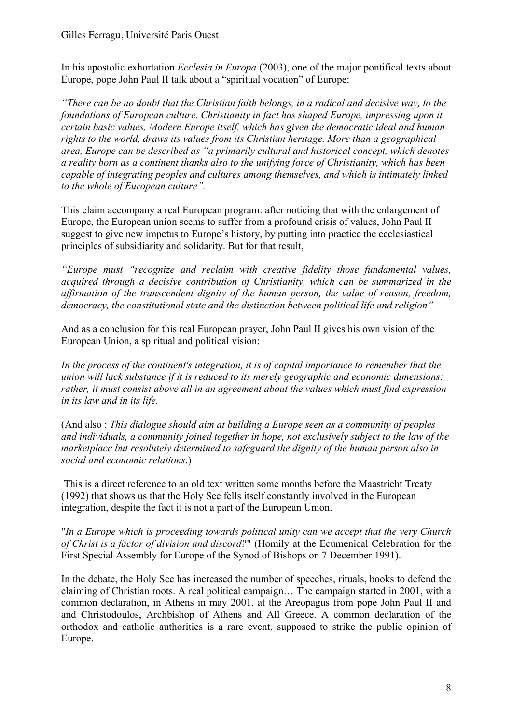In his apostolic exhortation *Ecclesia in Europa* (2003), one of the major pontifical texts about Europe, pope John Paul II talk about a "spiritual vocation" of Europe:

*"There can be no doubt that the Christian faith belongs, in a radical and decisive way, to the foundations of European culture. Christianity in fact has shaped Europe, impressing upon it certain basic values. Modern Europe itself, which has given the democratic ideal and human rights to the world, draws its values from its Christian heritage. More than a geographical area, Europe can be described as "a primarily cultural and historical concept, which denotes a reality born as a continent thanks also to the unifying force of Christianity, which has been capable of integrating peoples and cultures among themselves, and which is intimately linked to the whole of European culture".*

This claim accompany a real European program: after noticing that with the enlargement of Europe, the European union seems to suffer from a profound crisis of values, John Paul II suggest to give new impetus to Europe's history, by putting into practice the ecclesiastical principles of subsidiarity and solidarity. But for that result,

*"Europe must "recognize and reclaim with creative fidelity those fundamental values, acquired through a decisive contribution of Christianity, which can be summarized in the affirmation of the transcendent dignity of the human person, the value of reason, freedom, democracy, the constitutional state and the distinction between political life and religion"*

And as a conclusion for this real European prayer, John Paul II gives his own vision of the European Union, a spiritual and political vision:

*In the process of the continent's integration, it is of capital importance to remember that the union will lack substance if it is reduced to its merely geographic and economic dimensions; rather, it must consist above all in an agreement about the values which must find expression in its law and in its life.* 

(And also : *This dialogue should aim at building a Europe seen as a community of peoples and individuals, a community joined together in hope, not exclusively subject to the law of the marketplace but resolutely determined to safeguard the dignity of the human person also in social and economic relations*.)

This is a direct reference to an old text written some months before the Maastricht Treaty (1992) that shows us that the Holy See fells itself constantly involved in the European integration, despite the fact it is not a part of the European Union.

"*In a Europe which is proceeding towards political unity can we accept that the very Church of Christ is a factor of division and discord?*" (Homily at the Ecumenical Celebration for the First Special Assembly for Europe of the Synod of Bishops on 7 December 1991).

In the debate, the Holy See has increased the number of speeches, rituals, books to defend the claiming of Christian roots. A real political campaign… The campaign started in 2001, with a common declaration, in Athens in may 2001, at the Areopagus from pope John Paul II and and Christodoulos, Archbishop of Athens and All Greece. A common declaration of the orthodox and catholic authorities is a rare event, supposed to strike the public opinion of Europe.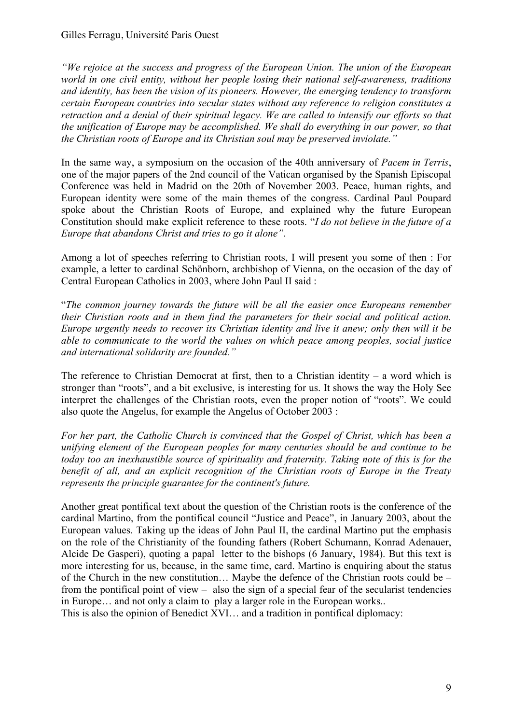*"We rejoice at the success and progress of the European Union. The union of the European world in one civil entity, without her people losing their national self-awareness, traditions and identity, has been the vision of its pioneers. However, the emerging tendency to transform certain European countries into secular states without any reference to religion constitutes a retraction and a denial of their spiritual legacy. We are called to intensify our efforts so that the unification of Europe may be accomplished. We shall do everything in our power, so that the Christian roots of Europe and its Christian soul may be preserved inviolate."*

In the same way, a symposium on the occasion of the 40th anniversary of *Pacem in Terris*, one of the major papers of the 2nd council of the Vatican organised by the Spanish Episcopal Conference was held in Madrid on the 20th of November 2003. Peace, human rights, and European identity were some of the main themes of the congress. Cardinal Paul Poupard spoke about the Christian Roots of Europe, and explained why the future European Constitution should make explicit reference to these roots. "*I do not believe in the future of a Europe that abandons Christ and tries to go it alone"*.

Among a lot of speeches referring to Christian roots, I will present you some of then : For example, a letter to cardinal Schönborn, archbishop of Vienna, on the occasion of the day of Central European Catholics in 2003, where John Paul II said :

"*The common journey towards the future will be all the easier once Europeans remember their Christian roots and in them find the parameters for their social and political action. Europe urgently needs to recover its Christian identity and live it anew; only then will it be able to communicate to the world the values on which peace among peoples, social justice and international solidarity are founded."*

The reference to Christian Democrat at first, then to a Christian identity – a word which is stronger than "roots", and a bit exclusive, is interesting for us. It shows the way the Holy See interpret the challenges of the Christian roots, even the proper notion of "roots". We could also quote the Angelus, for example the Angelus of October 2003 :

*For her part, the Catholic Church is convinced that the Gospel of Christ, which has been a unifying element of the European peoples for many centuries should be and continue to be today too an inexhaustible source of spirituality and fraternity. Taking note of this is for the benefit of all, and an explicit recognition of the Christian roots of Europe in the Treaty represents the principle guarantee for the continent's future.*

Another great pontifical text about the question of the Christian roots is the conference of the cardinal Martino, from the pontifical council "Justice and Peace", in January 2003, about the European values. Taking up the ideas of John Paul II, the cardinal Martino put the emphasis on the role of the Christianity of the founding fathers (Robert Schumann, Konrad Adenauer, Alcide De Gasperi), quoting a papal letter to the bishops (6 January, 1984). But this text is more interesting for us, because, in the same time, card. Martino is enquiring about the status of the Church in the new constitution… Maybe the defence of the Christian roots could be – from the pontifical point of view – also the sign of a special fear of the secularist tendencies in Europe… and not only a claim to play a larger role in the European works..

This is also the opinion of Benedict XVI… and a tradition in pontifical diplomacy: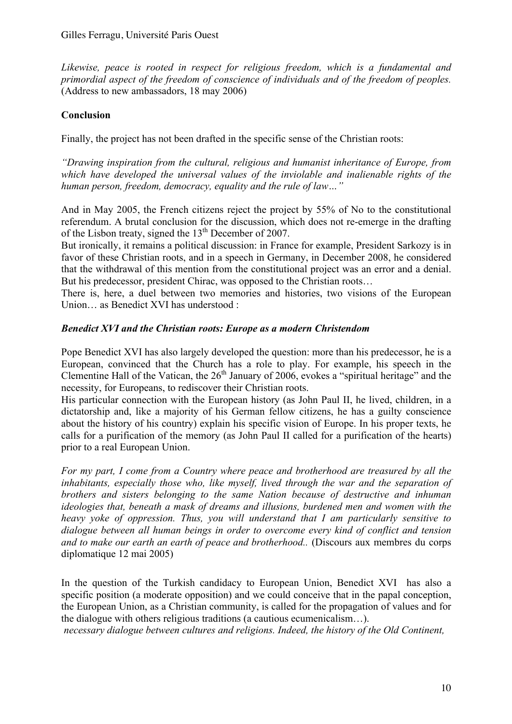*Likewise, peace is rooted in respect for religious freedom, which is a fundamental and primordial aspect of the freedom of conscience of individuals and of the freedom of peoples.* (Address to new ambassadors, 18 may 2006)

# **Conclusion**

Finally, the project has not been drafted in the specific sense of the Christian roots:

*"Drawing inspiration from the cultural, religious and humanist inheritance of Europe, from which have developed the universal values of the inviolable and inalienable rights of the human person, freedom, democracy, equality and the rule of law…"*

And in May 2005, the French citizens reject the project by 55% of No to the constitutional referendum. A brutal conclusion for the discussion, which does not re-emerge in the drafting of the Lisbon treaty, signed the  $13<sup>th</sup>$  December of 2007.

But ironically, it remains a political discussion: in France for example, President Sarkozy is in favor of these Christian roots, and in a speech in Germany, in December 2008, he considered that the withdrawal of this mention from the constitutional project was an error and a denial. But his predecessor, president Chirac, was opposed to the Christian roots…

There is, here, a duel between two memories and histories, two visions of the European Union… as Benedict XVI has understood :

### *Benedict XVI and the Christian roots: Europe as a modern Christendom*

Pope Benedict XVI has also largely developed the question: more than his predecessor, he is a European, convinced that the Church has a role to play. For example, his speech in the Clementine Hall of the Vatican, the  $26<sup>th</sup>$  January of 2006, evokes a "spiritual heritage" and the necessity, for Europeans, to rediscover their Christian roots.

His particular connection with the European history (as John Paul II, he lived, children, in a dictatorship and, like a majority of his German fellow citizens, he has a guilty conscience about the history of his country) explain his specific vision of Europe. In his proper texts, he calls for a purification of the memory (as John Paul II called for a purification of the hearts) prior to a real European Union.

*For my part, I come from a Country where peace and brotherhood are treasured by all the inhabitants, especially those who, like myself, lived through the war and the separation of brothers and sisters belonging to the same Nation because of destructive and inhuman ideologies that, beneath a mask of dreams and illusions, burdened men and women with the heavy yoke of oppression. Thus, you will understand that I am particularly sensitive to dialogue between all human beings in order to overcome every kind of conflict and tension and to make our earth an earth of peace and brotherhood..* (Discours aux membres du corps diplomatique 12 mai 2005)

In the question of the Turkish candidacy to European Union, Benedict XVI has also a specific position (a moderate opposition) and we could conceive that in the papal conception, the European Union, as a Christian community, is called for the propagation of values and for the dialogue with others religious traditions (a cautious ecumenicalism…).

*necessary dialogue between cultures and religions. Indeed, the history of the Old Continent,*